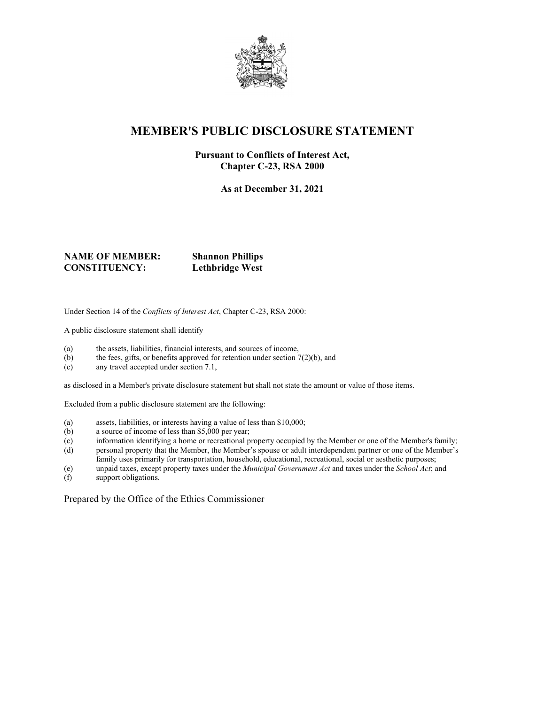

## **MEMBER'S PUBLIC DISCLOSURE STATEMENT**

#### **Pursuant to Conflicts of Interest Act, Chapter C-23, RSA 2000**

**As at December 31, 2021**

#### **NAME OF MEMBER: Shannon Phillips CONSTITUENCY: Lethbridge West**

Under Section 14 of the *Conflicts of Interest Act*, Chapter C-23, RSA 2000:

A public disclosure statement shall identify

- (a) the assets, liabilities, financial interests, and sources of income,
- (b) the fees, gifts, or benefits approved for retention under section  $7(2)(b)$ , and
- (c) any travel accepted under section 7.1,

as disclosed in a Member's private disclosure statement but shall not state the amount or value of those items.

Excluded from a public disclosure statement are the following:

- (a) assets, liabilities, or interests having a value of less than \$10,000;
- (b) a source of income of less than \$5,000 per year;
- (c) information identifying a home or recreational property occupied by the Member or one of the Member's family;
- (d) personal property that the Member, the Member's spouse or adult interdependent partner or one of the Member's family uses primarily for transportation, household, educational, recreational, social or aesthetic purposes;
- (e) unpaid taxes, except property taxes under the *Municipal Government Act* and taxes under the *School Act*; and
- support obligations.

Prepared by the Office of the Ethics Commissioner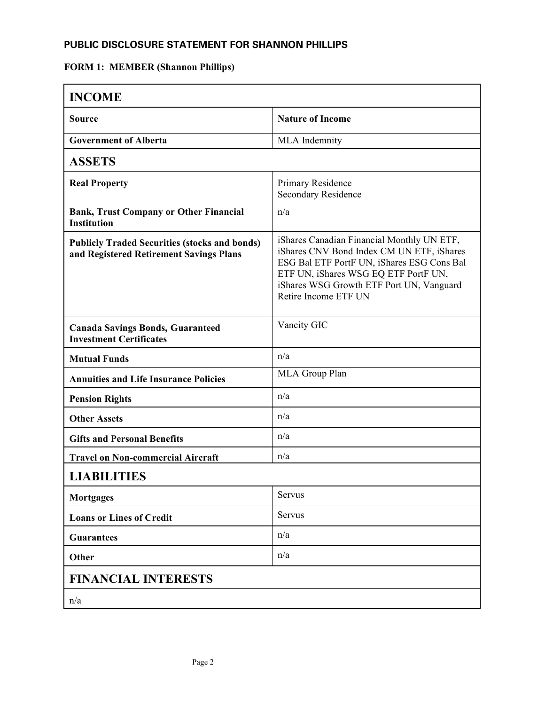### **PUBLIC DISCLOSURE STATEMENT FOR SHANNON PHILLIPS**

# **FORM 1: MEMBER (Shannon Phillips)**

| <b>INCOME</b>                                                                                   |                                                                                                                                                                                                                                                   |
|-------------------------------------------------------------------------------------------------|---------------------------------------------------------------------------------------------------------------------------------------------------------------------------------------------------------------------------------------------------|
| <b>Source</b>                                                                                   | <b>Nature of Income</b>                                                                                                                                                                                                                           |
| <b>Government of Alberta</b>                                                                    | MLA Indemnity                                                                                                                                                                                                                                     |
| <b>ASSETS</b>                                                                                   |                                                                                                                                                                                                                                                   |
| <b>Real Property</b>                                                                            | Primary Residence<br><b>Secondary Residence</b>                                                                                                                                                                                                   |
| <b>Bank, Trust Company or Other Financial</b><br><b>Institution</b>                             | n/a                                                                                                                                                                                                                                               |
| <b>Publicly Traded Securities (stocks and bonds)</b><br>and Registered Retirement Savings Plans | iShares Canadian Financial Monthly UN ETF,<br>iShares CNV Bond Index CM UN ETF, iShares<br>ESG Bal ETF PortF UN, iShares ESG Cons Bal<br>ETF UN, iShares WSG EQ ETF PortF UN,<br>iShares WSG Growth ETF Port UN, Vanguard<br>Retire Income ETF UN |
| <b>Canada Savings Bonds, Guaranteed</b><br><b>Investment Certificates</b>                       | Vancity GIC                                                                                                                                                                                                                                       |
| <b>Mutual Funds</b>                                                                             | n/a                                                                                                                                                                                                                                               |
| <b>Annuities and Life Insurance Policies</b>                                                    | MLA Group Plan                                                                                                                                                                                                                                    |
| <b>Pension Rights</b>                                                                           | n/a                                                                                                                                                                                                                                               |
| <b>Other Assets</b>                                                                             | n/a                                                                                                                                                                                                                                               |
| <b>Gifts and Personal Benefits</b>                                                              | n/a                                                                                                                                                                                                                                               |
| <b>Travel on Non-commercial Aircraft</b>                                                        | n/a                                                                                                                                                                                                                                               |
| <b>LIABILITIES</b>                                                                              |                                                                                                                                                                                                                                                   |
| <b>Mortgages</b>                                                                                | Servus                                                                                                                                                                                                                                            |
| <b>Loans or Lines of Credit</b>                                                                 | Servus                                                                                                                                                                                                                                            |
| <b>Guarantees</b>                                                                               | n/a                                                                                                                                                                                                                                               |
| Other                                                                                           | n/a                                                                                                                                                                                                                                               |
| <b>FINANCIAL INTERESTS</b>                                                                      |                                                                                                                                                                                                                                                   |
| n/a                                                                                             |                                                                                                                                                                                                                                                   |